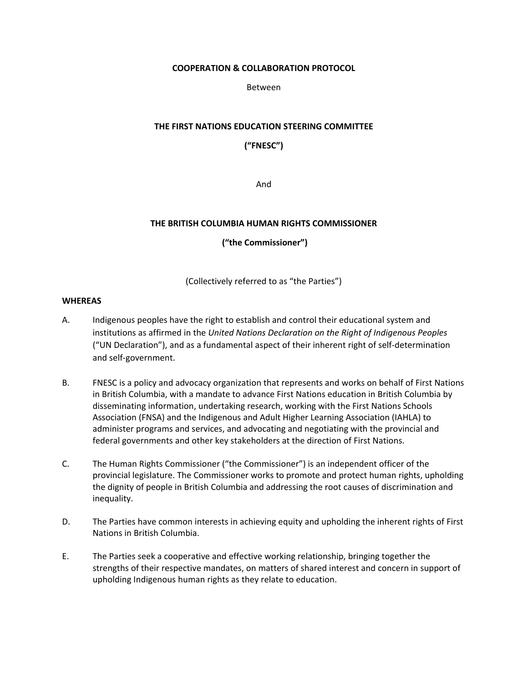#### **COOPERATION & COLLABORATION PROTOCOL**

Between

# **THE FIRST NATIONS EDUCATION STEERING COMMITTEE**

**("FNESC")**

And

# **THE BRITISH COLUMBIA HUMAN RIGHTS COMMISSIONER**

**("the Commissioner")**

(Collectively referred to as "the Parties")

# **WHEREAS**

- A. Indigenous peoples have the right to establish and control their educational system and institutions as affirmed in the *United Nations Declaration on the Right of Indigenous Peoples*  ("UN Declaration"), and as a fundamental aspect of their inherent right of self-determination and self-government.
- B. FNESC is a policy and advocacy organization that represents and works on behalf of First Nations in British Columbia, with a mandate to advance First Nations education in British Columbia by disseminating information, undertaking research, working with the First Nations Schools Association (FNSA) and the Indigenous and Adult Higher Learning Association (IAHLA) to administer programs and services, and advocating and negotiating with the provincial and federal governments and other key stakeholders at the direction of First Nations.
- C. The Human Rights Commissioner ("the Commissioner") is an independent officer of the provincial legislature. The Commissioner works to promote and protect human rights, upholding the dignity of people in British Columbia and addressing the root causes of discrimination and inequality.
- D. The Parties have common interests in achieving equity and upholding the inherent rights of First Nations in British Columbia.
- E. The Parties seek a cooperative and effective working relationship, bringing together the strengths of their respective mandates, on matters of shared interest and concern in support of upholding Indigenous human rights as they relate to education.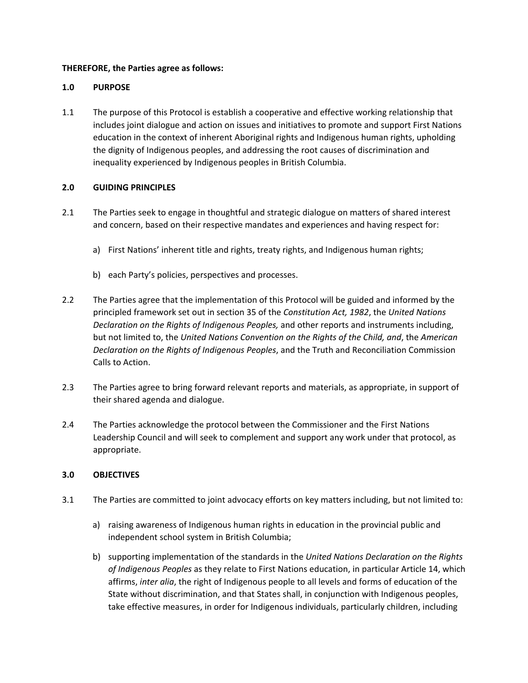# **THEREFORE, the Parties agree as follows:**

### **1.0 PURPOSE**

1.1 The purpose of this Protocol is establish a cooperative and effective working relationship that includes joint dialogue and action on issues and initiatives to promote and support First Nations education in the context of inherent Aboriginal rights and Indigenous human rights, upholding the dignity of Indigenous peoples, and addressing the root causes of discrimination and inequality experienced by Indigenous peoples in British Columbia.

#### **2.0 GUIDING PRINCIPLES**

- 2.1 The Parties seek to engage in thoughtful and strategic dialogue on matters of shared interest and concern, based on their respective mandates and experiences and having respect for:
	- a) First Nations' inherent title and rights, treaty rights, and Indigenous human rights;
	- b) each Party's policies, perspectives and processes.
- 2.2 The Parties agree that the implementation of this Protocol will be guided and informed by the principled framework set out in section 35 of the *Constitution Act, 1982*, the *United Nations Declaration on the Rights of Indigenous Peoples,* and other reports and instruments including, but not limited to, the *United Nations Convention on the Rights of the Child, and*, the *American Declaration on the Rights of Indigenous Peoples*, and the Truth and Reconciliation Commission Calls to Action.
- 2.3 The Parties agree to bring forward relevant reports and materials, as appropriate, in support of their shared agenda and dialogue.
- 2.4 The Parties acknowledge the protocol between the Commissioner and the First Nations Leadership Council and will seek to complement and support any work under that protocol, as appropriate.

# **3.0 OBJECTIVES**

- 3.1 The Parties are committed to joint advocacy efforts on key matters including, but not limited to:
	- a) raising awareness of Indigenous human rights in education in the provincial public and independent school system in British Columbia;
	- b) supporting implementation of the standards in the *United Nations Declaration on the Rights of Indigenous Peoples* as they relate to First Nations education, in particular Article 14, which affirms, *inter alia*, the right of Indigenous people to all levels and forms of education of the State without discrimination, and that States shall, in conjunction with Indigenous peoples, take effective measures, in order for Indigenous individuals, particularly children, including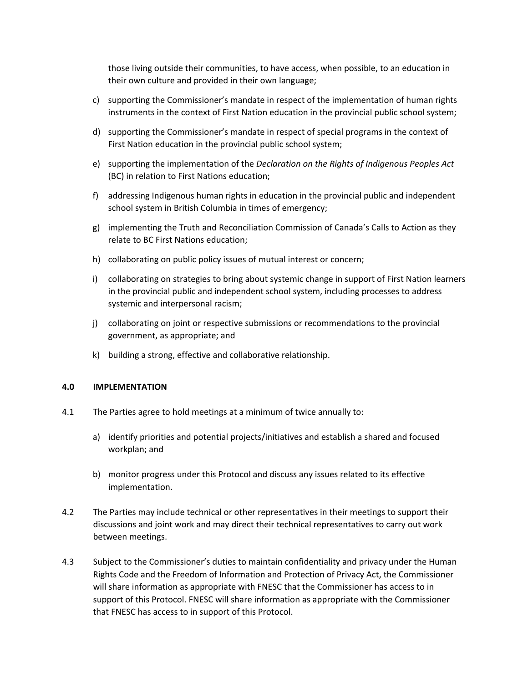those living outside their communities, to have access, when possible, to an education in their own culture and provided in their own language;

- c) supporting the Commissioner's mandate in respect of the implementation of human rights instruments in the context of First Nation education in the provincial public school system;
- d) supporting the Commissioner's mandate in respect of special programs in the context of First Nation education in the provincial public school system;
- e) supporting the implementation of the *Declaration on the Rights of Indigenous Peoples Act*  (BC) in relation to First Nations education;
- f) addressing Indigenous human rights in education in the provincial public and independent school system in British Columbia in times of emergency;
- g) implementing the Truth and Reconciliation Commission of Canada's Calls to Action as they relate to BC First Nations education;
- h) collaborating on public policy issues of mutual interest or concern;
- i) collaborating on strategies to bring about systemic change in support of First Nation learners in the provincial public and independent school system, including processes to address systemic and interpersonal racism;
- j) collaborating on joint or respective submissions or recommendations to the provincial government, as appropriate; and
- k) building a strong, effective and collaborative relationship.

#### **4.0 IMPLEMENTATION**

- 4.1 The Parties agree to hold meetings at a minimum of twice annually to:
	- a) identify priorities and potential projects/initiatives and establish a shared and focused workplan; and
	- b) monitor progress under this Protocol and discuss any issues related to its effective implementation.
- 4.2 The Parties may include technical or other representatives in their meetings to support their discussions and joint work and may direct their technical representatives to carry out work between meetings.
- 4.3 Subject to the Commissioner's duties to maintain confidentiality and privacy under the Human Rights Code and the Freedom of Information and Protection of Privacy Act, the Commissioner will share information as appropriate with FNESC that the Commissioner has access to in support of this Protocol. FNESC will share information as appropriate with the Commissioner that FNESC has access to in support of this Protocol.